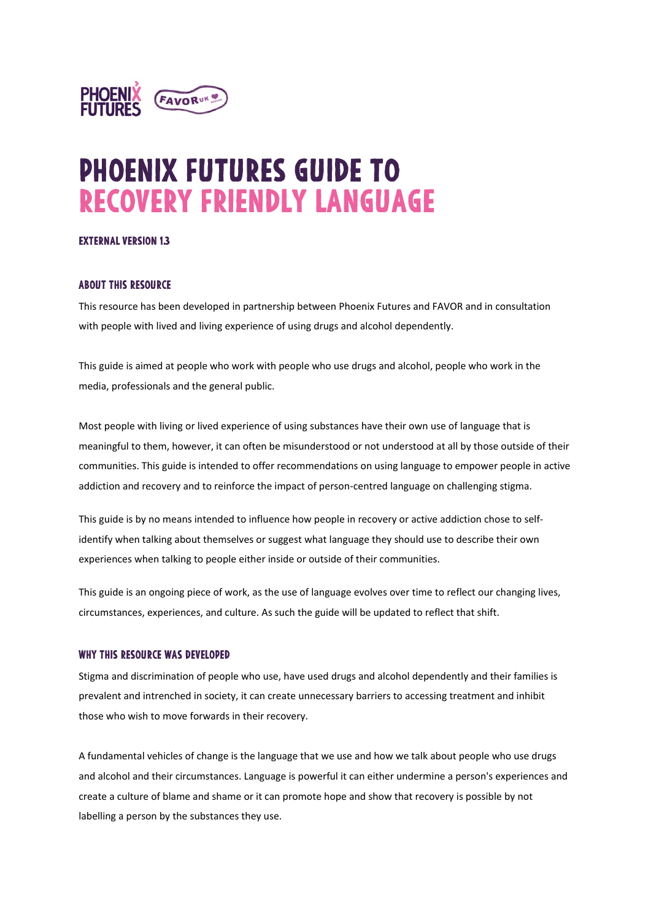

# **PHOENIX FUTURES GUIDE TO RECOVERY FRIENDLY LANGUAGE**

#### **EXTERNAL VERSION 1.3**

#### **ABOUT THIS RESOURCE**

This resource has been developed in partnership between Phoenix Futures and FAVOR and in consultation with people with lived and living experience of using drugs and alcohol dependently.

This guide is aimed at people who work with people who use drugs and alcohol, people who work in the media, professionals and the general public.

Most people with living or lived experience of using substances have their own use of language that is meaningful to them, however, it can often be misunderstood or not understood at all by those outside of their communities. This guide is intended to offer recommendations on using language to empower people in active addiction and recovery and to reinforce the impact of person-centred language on challenging stigma.

This guide is by no means intended to influence how people in recovery or active addiction chose to selfidentify when talking about themselves or suggest what language they should use to describe their own experiences when talking to people either inside or outside of their communities.

This guide is an ongoing piece of work, as the use of language evolves over time to reflect our changing lives, circumstances, experiences, and culture. As such the guide will be updated to reflect that shift.

#### WHY THIS RESOURCE WAS DEVELOPED

Stigma and discrimination of people who use, have used drugs and alcohol dependently and their families is prevalent and intrenched in society, it can create unnecessary barriers to accessing treatment and inhibit those who wish to move forwards in their recovery.

A fundamental vehicles of change is the language that we use and how we talk about people who use drugs and alcohol and their circumstances. Language is powerful it can either undermine a person's experiences and create a culture of blame and shame or it can promote hope and show that recovery is possible by not labelling a person by the substances they use.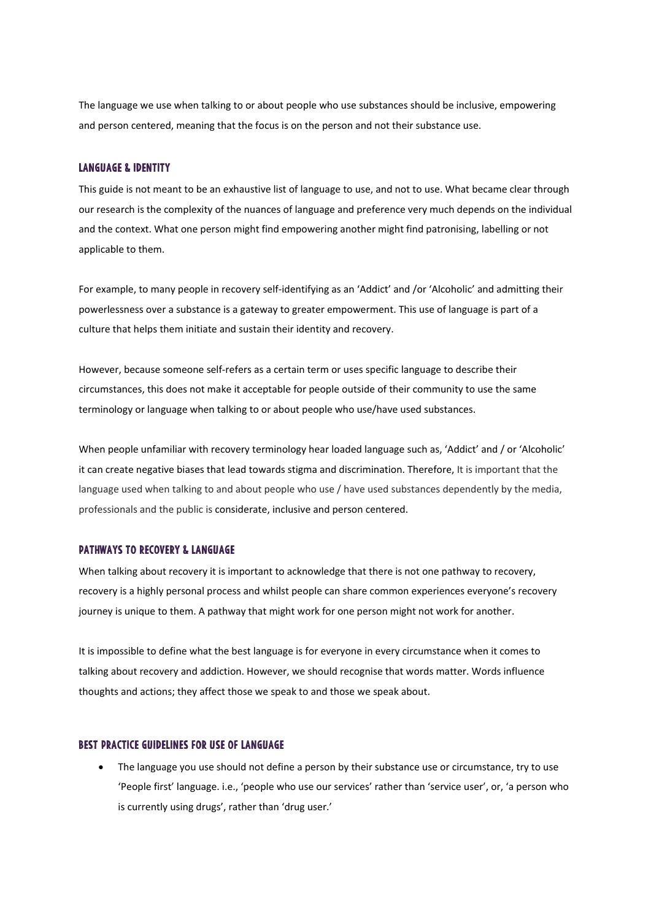The language we use when talking to or about people who use substances should be inclusive, empowering and person centered, meaning that the focus is on the person and not their substance use.

#### **LANGUAGE & IDENTITY**

This guide is not meant to be an exhaustive list of language to use, and not to use. What became clear through our research is the complexity of the nuances of language and preference very much depends on the individual and the context. What one person might find empowering another might find patronising, labelling or not applicable to them.

For example, to many people in recovery self-identifying as an 'Addict' and /or 'Alcoholic' and admitting their powerlessness over a substance is a gateway to greater empowerment. This use of language is part of a culture that helps them initiate and sustain their identity and recovery.

However, because someone self-refers as a certain term or uses specific language to describe their circumstances, this does not make it acceptable for people outside of their community to use the same terminology or language when talking to or about people who use/have used substances.

When people unfamiliar with recovery terminology hear loaded language such as, 'Addict' and / or 'Alcoholic' it can create negative biases that lead towards stigma and discrimination. Therefore, It is important that the language used when talking to and about people who use / have used substances dependently by the media, professionals and the public is considerate, inclusive and person centered.

#### **PATHWAYS TO RECOVERY & LANGUAGE**

When talking about recovery it is important to acknowledge that there is not one pathway to recovery, recovery is a highly personal process and whilst people can share common experiences everyone's recovery journey is unique to them. A pathway that might work for one person might not work for another.

It is impossible to define what the best language is for everyone in every circumstance when it comes to talking about recovery and addiction. However, we should recognise that words matter. Words influence thoughts and actions; they affect those we speak to and those we speak about.

#### **BEST PRACTICE GUIDELINES FOR USE OF LANGUAGE**

• The language you use should not define a person by their substance use or circumstance, try to use 'People first' language. i.e., 'people who use our services' rather than 'service user', or, 'a person who is currently using drugs', rather than 'drug user.'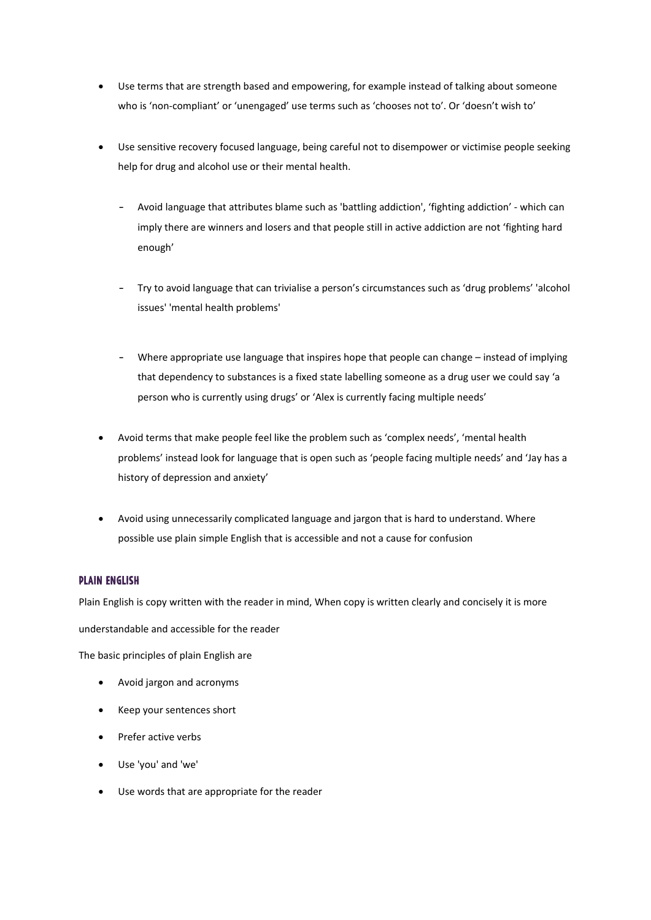- Use terms that are strength based and empowering, for example instead of talking about someone who is 'non-compliant' or 'unengaged' use terms such as 'chooses not to'. Or 'doesn't wish to'
- Use sensitive recovery focused language, being careful not to disempower or victimise people seeking help for drug and alcohol use or their mental health.
	- Avoid language that attributes blame such as 'battling addiction', 'fighting addiction' which can imply there are winners and losers and that people still in active addiction are not 'fighting hard enough'
	- Try to avoid language that can trivialise a person's circumstances such as 'drug problems' 'alcohol issues' 'mental health problems'
	- Where appropriate use language that inspires hope that people can change instead of implying that dependency to substances is a fixed state labelling someone as a drug user we could say 'a person who is currently using drugs' or 'Alex is currently facing multiple needs'
- Avoid terms that make people feel like the problem such as 'complex needs', 'mental health problems' instead look for language that is open such as 'people facing multiple needs' and 'Jay has a history of depression and anxiety'
- Avoid using unnecessarily complicated language and jargon that is hard to understand. Where possible use plain simple English that is accessible and not a cause for confusion

### **PLAIN ENGLISH**

Plain English is copy written with the reader in mind, When copy is written clearly and concisely it is more

understandable and accessible for the reader

The basic principles of plain English are

- Avoid jargon and acronyms
- Keep your sentences short
- Prefer active verbs
- Use 'you' and 'we'
- Use words that are appropriate for the reader